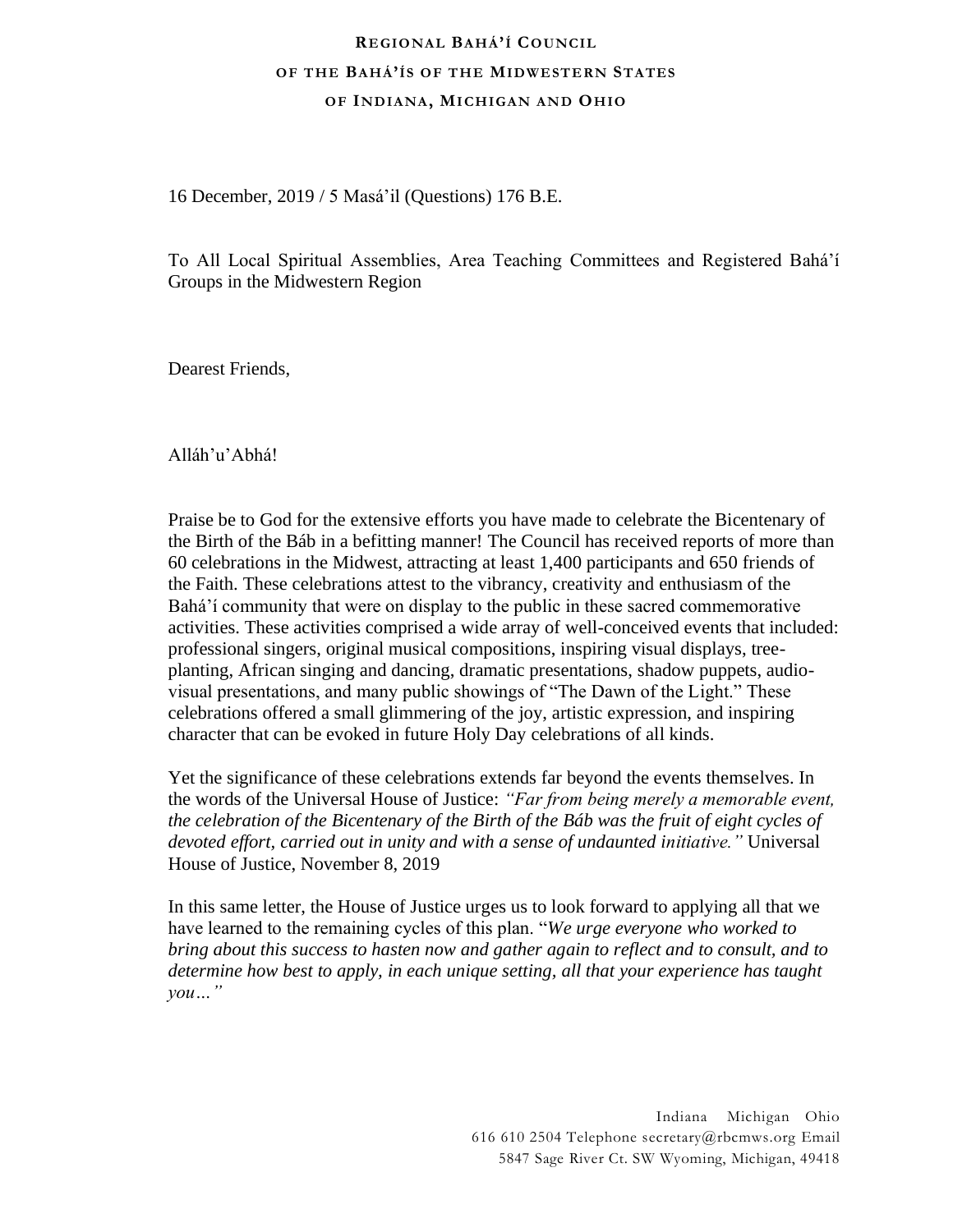## **REGIONAL BAHÁ'Í COUNCIL OF THE BAHÁ'ÍS OF THE MIDWESTERN STATES OF INDIANA, MI CHIGAN AN D OHIO**

16 December, 2019 / 5 Masá'il (Questions) 176 B.E.

To All Local Spiritual Assemblies, Area Teaching Committees and Registered Bahá'í Groups in the Midwestern Region

Dearest Friends,

Alláh'u'Abhá!

Praise be to God for the extensive efforts you have made to celebrate the Bicentenary of the Birth of the Báb in a befitting manner! The Council has received reports of more than 60 celebrations in the Midwest, attracting at least 1,400 participants and 650 friends of the Faith. These celebrations attest to the vibrancy, creativity and enthusiasm of the Bahá'í community that were on display to the public in these sacred commemorative activities. These activities comprised a wide array of well-conceived events that included: professional singers, original musical compositions, inspiring visual displays, treeplanting, African singing and dancing, dramatic presentations, shadow puppets, audiovisual presentations, and many public showings of "The Dawn of the Light." These celebrations offered a small glimmering of the joy, artistic expression, and inspiring character that can be evoked in future Holy Day celebrations of all kinds.

Yet the significance of these celebrations extends far beyond the events themselves. In the words of the Universal House of Justice: *"Far from being merely a memorable event, the celebration of the Bicentenary of the Birth of the Báb was the fruit of eight cycles of devoted effort, carried out in unity and with a sense of undaunted initiative."* Universal House of Justice, November 8, 2019

In this same letter, the House of Justice urges us to look forward to applying all that we have learned to the remaining cycles of this plan. "*We urge everyone who worked to bring about this success to hasten now and gather again to reflect and to consult, and to determine how best to apply, in each unique setting, all that your experience has taught you…"*